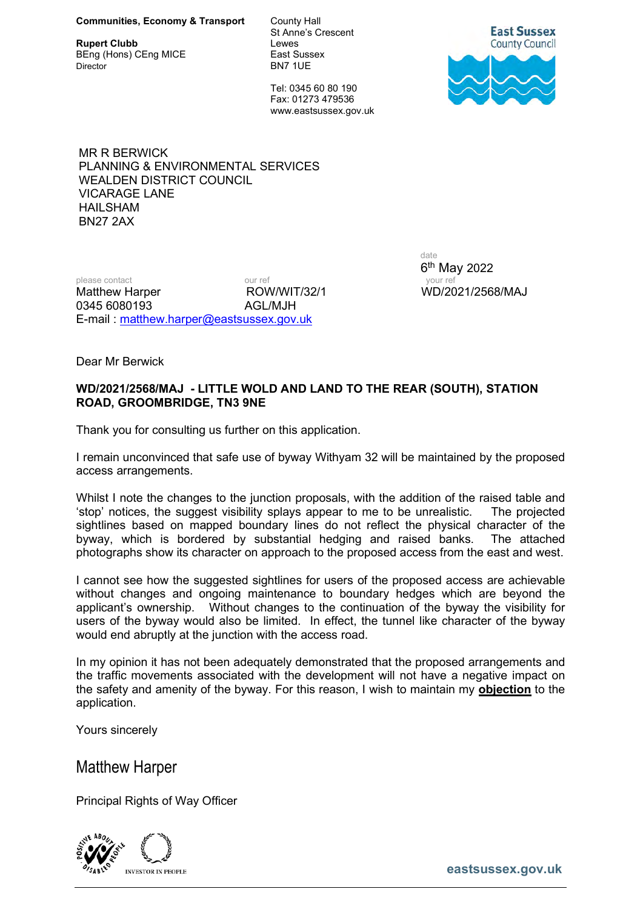**Rupert Clubb Lewes**<br>
BEng (Hons) CEng MICE **Let BENG CLUBBENG** East Sussex BEng (Hons) CEng MICE Director BN7 1UE

St Anne's Crescent

 Tel: 0345 60 80 190 Fax: 01273 479536 www.eastsussex.gov.uk



MR R BERWICK PLANNING & ENVIRONMENTAL SERVICES WEALDEN DISTRICT COUNCIL VICARAGE LANE HAILSHAM BN27 2AX

please contact our ref our ref your ref your ref Matthew Harper **ROW/WIT/32/1** WD/2021/2568/MAJ 0345 6080193 AGL/MJH E-mail : matthew.harper@eastsussex.gov.uk

date 6 th May 2022

Dear Mr Berwick

## WD/2021/2568/MAJ - LITTLE WOLD AND LAND TO THE REAR (SOUTH), STATION ROAD, GROOMBRIDGE, TN3 9NE

Thank you for consulting us further on this application.

I remain unconvinced that safe use of byway Withyam 32 will be maintained by the proposed access arrangements.

Whilst I note the changes to the junction proposals, with the addition of the raised table and 'stop' notices, the suggest visibility splays appear to me to be unrealistic. The projected sightlines based on mapped boundary lines do not reflect the physical character of the byway, which is bordered by substantial hedging and raised banks. The attached photographs show its character on approach to the proposed access from the east and west.

I cannot see how the suggested sightlines for users of the proposed access are achievable without changes and ongoing maintenance to boundary hedges which are beyond the applicant's ownership. Without changes to the continuation of the byway the visibility for users of the byway would also be limited. In effect, the tunnel like character of the byway would end abruptly at the junction with the access road.

In my opinion it has not been adequately demonstrated that the proposed arrangements and the traffic movements associated with the development will not have a negative impact on the safety and amenity of the byway. For this reason, I wish to maintain my **objection** to the application.

Yours sincerely

Matthew Harper

Principal Rights of Way Officer



**EXECUTE:** EXECUTE EXECUTE THE EXECUTIVE STRAIN SERVICE SERVICE SERVICE SERVICE SERVICE SERVICE SERVICE SERVICE SERVICE SERVICE SERVICE SERVICE SERVICE SERVICE SERVICE SERVICE SERVICE SERVICE SERVICE SERVICE SERVICE SERVIC